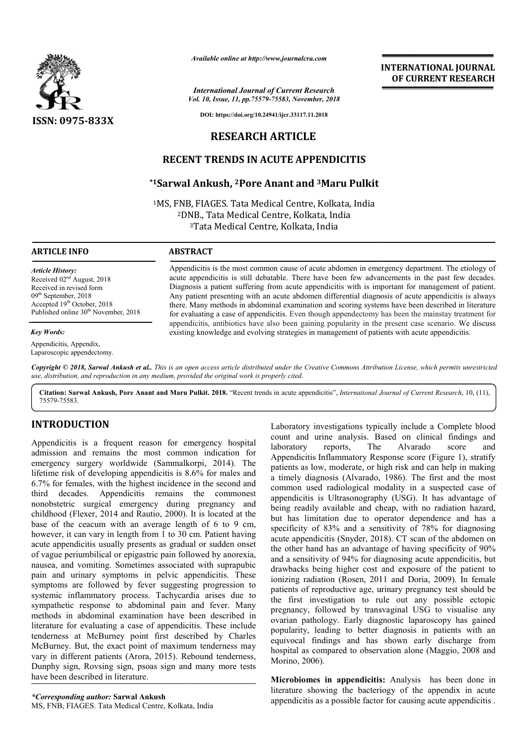

*Available online at http://www.journalcra.com*

*Vol. 10, Issue, 11, pp.75579-75583, November, 2018 International Journal of Current Research*

**DOI: https://doi.org/10.24941/ijcr.33117.11.2018**

# **RESEARCH ARTICLE**

## **RECENT TRENDS IN ACUTE APPENDICITIS**

## **\*1Sarwal Ankush, Sarwal 2Pore Anant and 3Maru Pulkit Maru**

<sup>1</sup>MS, FNB, FIAGES. Tata Medical Centre, Kolkata, India <sup>2</sup>DNB., Tata Medical Centre, Kolkata, India<br><sup>3</sup>Tata Medical Centre, Kolkata, India <sup>3</sup>Tata Medical Centre, Kolkata, India

## **ARTICLE INFO ABSTRACT**

*Article History:* Received 02nd August, 2018 Received in revised form 09<sup>th</sup> September, 2018 Accepted 19th October, 2018 Published online  $30<sup>th</sup>$  November, 2018

*Key Words:*

Appendicitis, Appendix, Laparoscopic appendectomy.

Appendicitis is the most common cause of acute abdomen in emergency department. The etiology of acute appendicitis is still debatable. There have been few advancements in the past few decades. Diagnosis a patient suffering from acute appendicitis with is important for management of patient. Any patient presenting with an acute abdomen differential diagnosis of acute appendicitis is always there. Many methods in abdominal examination and scoring systems have been described in literature for evaluating a case of appendicitis. Even though appendectomy has been the mainstay treatment for appendicitis, antibiotics have also been gaining popularity in the present case scenario. existing knowledge and evolving strategies in management of patients with acute appendicitis. acute appendicitis is still debatable. There have been few advancements in the past few decades. Diagnosis a patient suffering from acute appendicitis with is important for management of patient. Any patient presenting wit

Copyright © 2018, Sarwal Ankush et al.. This is an open access article distributed under the Creative Commons Attribution License, which permits unrestrictea *use, distribution, and reproduction in any medium, provided the original work is properly cited.*

Citation: Sarwal Ankush, Pore Anant and Maru Pulkit. 2018. "Recent trends in acute appendicitis", *International Journal of Current Research*, 10, (11), 75579-75583.

## **INTRODUCTION**

Appendicitis is a frequent reason for emergency hospital admission and remains the most common indication for emergency surgery worldwide (Sammalkorpi, 2014). The lifetime risk of developing appendicitis is 8.6% for males and 6.7% for females, with the highest incidence in the second and third decades. Appendicitis remains the commonest nonobstetric surgical emergency during pregnancy and childhood (Flexer, 2014 and Rautio, 2000). It is located at the . base of the ceacum with an average length of 6 to 9 cm, however, it can vary in length from 1 to 30 cm. Patient having acute appendicitis usually presents as gradual or sudden onset of vague periumbilical or epigastric pain followed by anorexia, nausea, and vomiting. Sometimes associated with suprapubic pain and urinary symptoms in pelvic appendicitis. These symptoms are followed by fever suggesting progression to systemic inflammatory process. Tachycardia arises due to sympathetic response to abdominal pain and fever. Many methods in abdominal examination have been described in literature for evaluating a case of appendicitis. These include tenderness at McBurney point first described by Charles McBurney. But, the exact point of maximum tenderness may vary in different patients (Arora, 2015). Rebound tenderness, Dunphy sign, Rovsing sign, psoas sign and many more tests have been described in literature. ppendicitis usually presents as gradual or sudden onset<br>le periumbilical or epigastric pain followed by anorexia,<br>and vomiting. Sometimes associated with suprapubic<br>md urinary symptoms in pelvic appendicitis. These<br>ms are Laboratory investigations typically include a Complete blood count and urine analysis. Based on clinical findings and laboratory reports, The Alvarado score and laboratory reports, The Alvarado score Appendicitis Inflammatory Response score (Figure 1), stratify patients as low, moderate, or high risk and can help in making patients as low, moderate, or high risk and can help in making a timely diagnosis (Alvarado, 1986). The first and the most common used radiological modality in a suspected case of appendicitis is Ultrasonography (USG). It has advantage of being readily available and cheap, with no radiation hazard, but has limitation due to operator dependence and has a but has limitation due to operator dependence and has a specificity of 83% and a sensitivity of 78% for diagnosing acute appendicitis (Snyder, 2018 , 2018). CT scan of the abdomen on the other hand has an advantage of having specificity of 90% and a sensitivity of 94% for diagnosing acute appendicitis, but drawbacks being higher cost and exposure of the patient to ionizing radiation (Rosen, 2011 and Doria, 2009). In female patients of reproductive age, urinary pregnancy test should be the first investigation to rule out any possible ectopic pregnancy, followed by transvaginal USG to visualise any ovarian pathology. Early diagnostic laparoscopy has gained popularity, leading to better diagnosis in patients with an equivocal findings and has shown early discharge from hospital as compared to observation alone (Maggio, 2008 and Morino, 2006). of having specificity of 90% a sensitivity of 94% for diagnosing acute appendicitis, but whacks being higher cost and exposure of the patient to zing radiation (Rosen, 2011 and Doria, 2009). In female patients of reproductive age, urinary pregnancy test should be the first investigation to rule out any possible ectopic pregnancy, followed by transvaginal USG to visualise any ovarian pathology. Early diagnostic laparosco **INTERNATIONAL JOURNAL TOWAL STONAL JOURNAL FORM (SEE ARTIFIES AND ASSEEM AND CONSUMPLE TO A USE CONSUMPLE CONSUMPLE (SEE ARTIFIES AND ANOTHER APPENDICITIS AND ARTIFIES ARTIFIES AND ARTIFIES AND ARTIFIES AND ARTIFIES AND A** 

**INTERNATIONAL JOURNAL OF CURRENT RESEARCH**

Microbiomes in appendicitis: Analysis has been done in literature showing the bacteriogy of the appendix in acute appendicitis as a possible factor for causing acute appendicitis .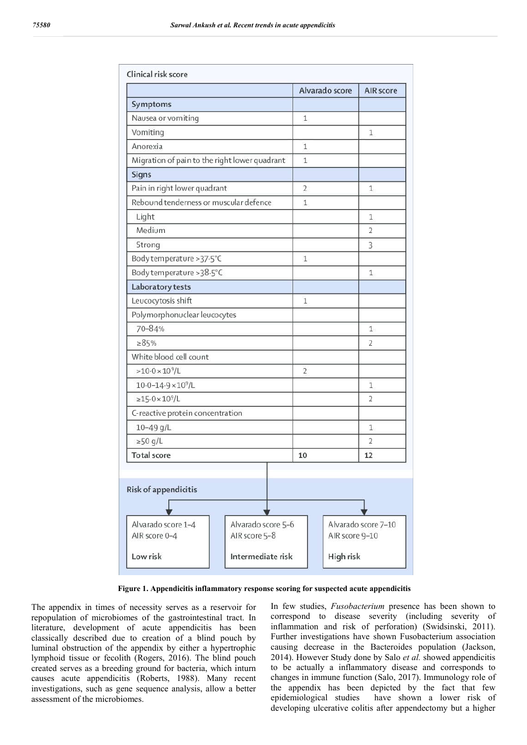|                                               |                    | Alvarado score | <b>AIR</b> score         |
|-----------------------------------------------|--------------------|----------------|--------------------------|
| Symptoms                                      |                    |                |                          |
| Nausea or vomiting                            |                    | $\mathbf{1}$   |                          |
| Vomiting                                      |                    |                | 1                        |
| Anorexia                                      |                    | $\mathbf{1}$   |                          |
| Migration of pain to the right lower quadrant |                    | $\mathbf{1}$   |                          |
| Signs                                         |                    |                |                          |
| Pain in right lower quadrant                  |                    | $\overline{2}$ | 1                        |
| Rebound tenderness or muscular defence        |                    | $\mathbf{1}$   |                          |
| Light                                         |                    |                | $\mathbf{1}$             |
| Medium                                        |                    |                | $\overline{2}$           |
| Strong                                        |                    |                | 3                        |
| Body temperature >37.5°C                      |                    | $\mathbf{1}$   |                          |
| Body temperature > 38.5°C                     |                    |                | 1                        |
| Laboratory tests                              |                    |                |                          |
| Leucocytosis shift                            |                    | $\mathbf{1}$   |                          |
| Polymorphonuclear leucocytes                  |                    |                |                          |
| 70-84%                                        |                    |                | $\mathbf{1}$             |
| >85%                                          |                    |                | 2                        |
| White blood cell count                        |                    |                |                          |
| $>10.0\times10^{9}/L$                         |                    | $\overline{2}$ |                          |
| $10.0 - 14.9 \times 10^9$ /L                  |                    |                | $\mathbf{1}$             |
| $\geq 15.0 \times 10^9/L$                     |                    |                | $\overline{\phantom{a}}$ |
| C-reactive protein concentration              |                    |                |                          |
| $10 - 49$ g/L                                 |                    |                | 1                        |
| $\geq$ 50 g/L                                 |                    |                | $\overline{2}$           |
| <b>Total score</b>                            |                    | 10             | 12                       |
| Risk of appendicitis                          |                    |                |                          |
|                                               |                    |                |                          |
| Alvarado score 1-4                            | Alvarado score 5-6 |                | Alvarado score 7-10      |
| AIR score 0-4                                 | AIR score 5-8      |                | AIR score 9-10           |
| Low risk                                      | Intermediate risk  |                |                          |
|                                               |                    | High risk      |                          |

**Figure 1. Appendicitis inflammatory response scoring for suspected acute appendicitis**

The appendix in times of necessity serves as a reservoir for repopulation of microbiomes of the gastrointestinal tract. In literature, development of acute appendicitis has been classically described due to creation of a blind pouch by luminal obstruction of the appendix by either a hypertrophic lymphoid tissue or fecolith (Rogers, 2016). The blind pouch created serves as a breeding ground for bacteria, which inturn causes acute appendicitis (Roberts, 1988). Many recent investigations, such as gene sequence analysis, allow a better assessment of the microbiomes.

In few studies, *Fusobacterium* presence has been shown to correspond to disease severity (including severity of inflammation and risk of perforation) (Swidsinski, 2011). Further investigations have shown Fusobacterium association causing decrease in the Bacteroides population (Jackson, 2014). However Study done by Salo *et al.* showed appendicitis to be actually a inflammatory disease and corresponds to changes in immune function (Salo, 2017). Immunology role of the appendix has been depicted by the fact that few epidemiological studies have shown a lower risk of developing ulcerative colitis after appendectomy but a higher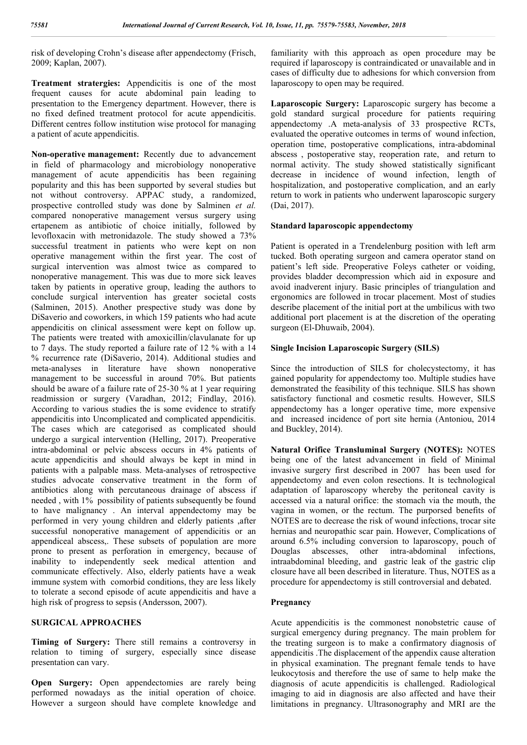risk of developing Crohn's disease after appendectomy (Frisch, 2009; Kaplan, 2007).

**Treatment stratergies:** Appendicitis is one of the most frequent causes for acute abdominal pain leading to presentation to the Emergency department. However, there is no fixed defined treatment protocol for acute appendicitis. Different centres follow institution wise protocol for managing a patient of acute appendicitis.

**Non-operative management:** Recently due to advancement in field of pharmacology and microbiology nonoperative management of acute appendicitis has been regaining popularity and this has been supported by several studies but not without controversy. APPAC study, a randomized, prospective controlled study was done by Salminen *et al.* compared nonoperative management versus surgery using ertapenem as antibiotic of choice initially, followed by levofloxacin with metronidazole. The study showed a 73% successful treatment in patients who were kept on non operative management within the first year. The cost of surgical intervention was almost twice as compared to nonoperative management. This was due to more sick leaves taken by patients in operative group, leading the authors to conclude surgical intervention has greater societal costs (Salminen, 2015). Another prespective study was done by DiSaverio and coworkers, in which 159 patients who had acute appendicitis on clinical assessment were kept on follow up. The patients were treated with amoxicillin/clavulanate for up to 7 days. The study reported a failure rate of 12 % with a 14 % recurrence rate (DiSaverio, 2014). Additional studies and meta-analyses in literature have shown nonoperative management to be successful in around 70%. But patients should be aware of a failure rate of 25-30 % at 1 year requiring readmission or surgery (Varadhan, 2012; Findlay, 2016). According to various studies the is some evidence to stratify appendicitis into Uncomplicated and complicated appendicitis. The cases which are categorised as complicated should undergo a surgical intervention (Helling, 2017). Preoperative intra-abdominal or pelvic abscess occurs in 4% patients of acute appendicitis and should always be kept in mind in patients with a palpable mass. Meta-analyses of retrospective studies advocate conservative treatment in the form of antibiotics along with percutaneous drainage of abscess if needed , with 1% possibility of patients subsequently be found to have malignancy . An interval appendectomy may be performed in very young children and elderly patients ,after successful nonoperative management of appendicitis or an appendiceal abscess,. These subsets of population are more prone to present as perforation in emergency, because of inability to independently seek medical attention and communicate effectively. Also, elderly patients have a weak immune system with comorbid conditions, they are less likely to tolerate a second episode of acute appendicitis and have a high risk of progress to sepsis (Andersson, 2007).

#### **SURGICAL APPROACHES**

**Timing of Surgery:** There still remains a controversy in relation to timing of surgery, especially since disease presentation can vary.

**Open Surgery:** Open appendectomies are rarely being performed nowadays as the initial operation of choice. However a surgeon should have complete knowledge and familiarity with this approach as open procedure may be required if laparoscopy is contraindicated or unavailable and in cases of difficulty due to adhesions for which conversion from laparoscopy to open may be required.

**Laparoscopic Surgery:** Laparoscopic surgery has become a gold standard surgical procedure for patients requiring appendectomy .A meta-analysis of 33 prospective RCTs, evaluated the operative outcomes in terms of wound infection, operation time, postoperative complications, intra-abdominal abscess , postoperative stay, reoperation rate, and return to normal activity. The study showed statistically significant decrease in incidence of wound infection, length of hospitalization, and postoperative complication, and an early return to work in patients who underwent laparoscopic surgery (Dai, 2017).

#### **Standard laparoscopic appendectomy**

Patient is operated in a Trendelenburg position with left arm tucked. Both operating surgeon and camera operator stand on patient's left side. Preoperative Foleys catheter or voiding, provides bladder decompression which aid in exposure and avoid inadverent injury. Basic principles of triangulation and ergonomics are followed in trocar placement. Most of studies describe placement of the initial port at the umbilicus with two additional port placement is at the discretion of the operating surgeon (El-Dhuwaib, 2004).

#### **Single Incision Laparoscopic Surgery (SILS)**

Since the introduction of SILS for cholecystectomy, it has gained popularity for appendectomy too. Multiple studies have demonstrated the feasibility of this technique. SILS has shown satisfactory functional and cosmetic results. However, SILS appendectomy has a longer operative time, more expensive and increased incidence of port site hernia (Antoniou, 2014 and Buckley, 2014).

**Natural Orifice Transluminal Surgery (NOTES):** NOTES being one of the latest advancement in field of Minimal invasive surgery first described in 2007 has been used for appendectomy and even colon resections. It is technological adaptation of laparoscopy whereby the peritoneal cavity is accessed via a natural orifice: the stomach via the mouth, the vagina in women, or the rectum. The purporsed benefits of NOTES are to decrease the risk of wound infections, trocar site hernias and neuropathic scar pain. However, Complications of around 6.5% including conversion to laparoscopy, pouch of Douglas abscesses, other intra-abdominal infections, intraabdominal bleeding, and gastric leak of the gastric clip closure have all been described in literature. Thus, NOTES as a procedure for appendectomy is still controversial and debated.

#### **Pregnancy**

Acute appendicitis is the commonest nonobstetric cause of surgical emergency during pregnancy. The main problem for the treating surgeon is to make a confirmatory diagnosis of appendicitis .The displacement of the appendix cause alteration in physical examination. The pregnant female tends to have leukocytosis and therefore the use of same to help make the diagnosis of acute appendicitis is challenged. Radiological imaging to aid in diagnosis are also affected and have their limitations in pregnancy. Ultrasonography and MRI are the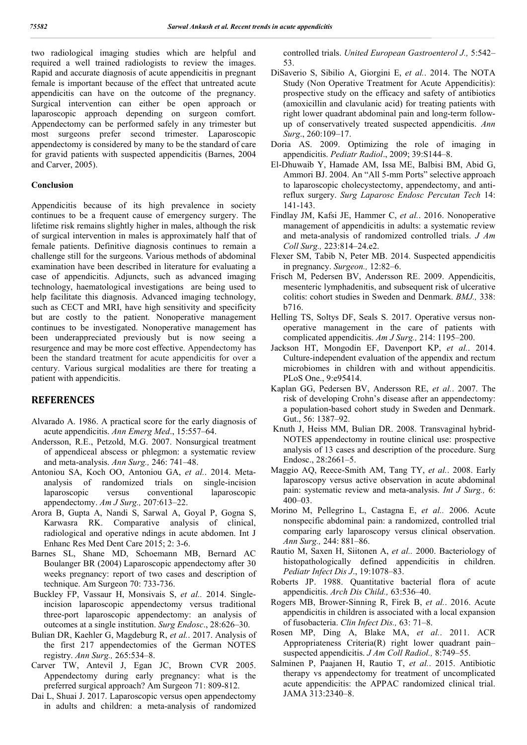two radiological imaging studies which are helpful and required a well trained radiologists to review the images. Rapid and accurate diagnosis of acute appendicitis in pregnant female is important because of the effect that untreated acute appendicitis can have on the outcome of the pregnancy. Surgical intervention can either be open approach or laparoscopic approach depending on surgeon comfort. Appendectomy can be performed safely in any trimester but most surgeons prefer second trimester. Laparoscopic appendectomy is considered by many to be the standard of care for gravid patients with suspected appendicitis (Barnes, 2004 and Carver, 2005).

### **Conclusion**

Appendicitis because of its high prevalence in society continues to be a frequent cause of emergency surgery. The lifetime risk remains slightly higher in males, although the risk of surgical intervention in males is approximately half that of female patients. Definitive diagnosis continues to remain a challenge still for the surgeons. Various methods of abdominal examination have been described in literature for evaluating a case of appendicitis. Adjuncts, such as advanced imaging technology, haematological investigations are being used to help facilitate this diagnosis. Advanced imaging technology, such as CECT and MRI, have high sensitivity and specificity but are costly to the patient. Nonoperative management continues to be investigated. Nonoperative management has been underappreciated previously but is now seeing a resurgence and may be more cost effective. Appendectomy has been the standard treatment for acute appendicitis for over a century. Various surgical modalities are there for treating a patient with appendicitis.

## **REFERENCES**

- Alvarado A. 1986. A practical score for the early diagnosis of acute appendicitis. *Ann Emerg Med*., 15:557–64.
- Andersson, R.E., Petzold, M.G. 2007. Nonsurgical treatment of appendiceal abscess or phlegmon: a systematic review and meta-analysis. *Ann Surg.,* 246: 741–48.
- Antoniou SA, Koch OO, Antoniou GA, *et al.*. 2014. Metaanalysis of randomized trials on single-incision laparoscopic versus conventional laparoscopic appendectomy. *Am J Surg.,* 207:613–22.
- Arora B, Gupta A, Nandi S, Sarwal A, Goyal P, Gogna S, Karwasra RK. Comparative analysis of clinical, radiological and operative ndings in acute abdomen. Int J Enhanc Res Med Dent Care 2015; 2: 3-6.
- Barnes SL, Shane MD, Schoemann MB, Bernard AC Boulanger BR (2004) Laparoscopic appendectomy after 30 weeks pregnancy: report of two cases and description of technique. Am Surgeon 70: 733-736.
- Buckley FP, Vassaur H, Monsivais S, *et al..* 2014. Singleincision laparoscopic appendectomy versus traditional three-port laparoscopic appendectomy: an analysis of outcomes at a single institution. *Surg Endosc*., 28:626–30.
- Bulian DR, Kaehler G, Magdeburg R, *et al.*. 2017. Analysis of the first 217 appendectomies of the German NOTES registry. *Ann Surg.,* 265:534–8.
- Carver TW, Antevil J, Egan JC, Brown CVR 2005. Appendectomy during early pregnancy: what is the preferred surgical approach? Am Surgeon 71: 809-812.
- Dai L, Shuai J. 2017. Laparoscopic versus open appendectomy in adults and children: a meta-analysis of randomized

controlled trials. *United European Gastroenterol J.,* 5:542– 53.

- DiSaverio S, Sibilio A, Giorgini E, *et al.*. 2014. The NOTA Study (Non Operative Treatment for Acute Appendicitis): prospective study on the efficacy and safety of antibiotics (amoxicillin and clavulanic acid) for treating patients with right lower quadrant abdominal pain and long-term followup of conservatively treated suspected appendicitis. *Ann Surg*., 260:109–17.
- Doria AS. 2009. Optimizing the role of imaging in appendicitis. *Pediatr Radiol*., 2009; 39:S144–8.
- El-Dhuwaib Y, Hamade AM, Issa ME, Balbisi BM, Abid G, Ammori BJ. 2004. An "All 5-mm Ports" selective approach to laparoscopic cholecystectomy, appendectomy, and antireflux surgery. *Surg Laparosc Endosc Percutan Tech* 14: 141-143.
- Findlay JM, Kafsi JE, Hammer C, *et al.*. 2016. Nonoperative management of appendicitis in adults: a systematic review and meta-analysis of randomized controlled trials. *J Am Coll Surg.,* 223:814–24.e2.
- Flexer SM, Tabib N, Peter MB. 2014. Suspected appendicitis in pregnancy. *Surgeon.,* 12:82–6.
- Frisch M, Pedersen BV, Andersson RE. 2009. Appendicitis, mesenteric lymphadenitis, and subsequent risk of ulcerative colitis: cohort studies in Sweden and Denmark. *BMJ.,* 338: b716.
- Helling TS, Soltys DF, Seals S. 2017. Operative versus nonoperative management in the care of patients with complicated appendicitis. *Am J Surg.,* 214: 1195–200.
- Jackson HT, Mongodin EF, Davenport KP, *et al.*. 2014. Culture-independent evaluation of the appendix and rectum microbiomes in children with and without appendicitis. PLoS One., 9:e95414.
- Kaplan GG, Pedersen BV, Andersson RE, *et al.*. 2007. The risk of developing Crohn's disease after an appendectomy: a population-based cohort study in Sweden and Denmark. Gut., 56: 1387–92.
- Knuth J, Heiss MM, Bulian DR. 2008. Transvaginal hybrid-NOTES appendectomy in routine clinical use: prospective analysis of 13 cases and description of the procedure. Surg Endosc., 28:2661–5.
- Maggio AQ, Reece-Smith AM, Tang TY, *et al.*. 2008. Early laparoscopy versus active observation in acute abdominal pain: systematic review and meta-analysis. *Int J Surg.,* 6: 400–03.
- Morino M, Pellegrino L, Castagna E, *et al..* 2006. Acute nonspecific abdominal pain: a randomized, controlled trial comparing early laparoscopy versus clinical observation. *Ann Surg.,* 244: 881–86.
- Rautio M, Saxen H, Siitonen A, *et al..* 2000. Bacteriology of histopathologically defined appendicitis in children. *Pediatr Infect Dis J*., 19:1078–83.
- Roberts JP. 1988. Quantitative bacterial flora of acute appendicitis. *Arch Dis Child.,* 63:536–40.
- Rogers MB, Brower-Sinning R, Firek B, *et al.*. 2016. Acute appendicitis in children is associated with a local expansion of fusobacteria. *Clin Infect Dis.,* 63: 71–8.
- Rosen MP, Ding A, Blake MA, *et al.*. 2011. ACR Appropriateness Criteria(R) right lower quadrant pain– suspected appendicitis. *J Am Coll Radiol.,* 8:749–55.
- Salminen P, Paajanen H, Rautio T, *et al.*. 2015. Antibiotic therapy vs appendectomy for treatment of uncomplicated acute appendicitis: the APPAC randomized clinical trial. JAMA 313:2340–8.